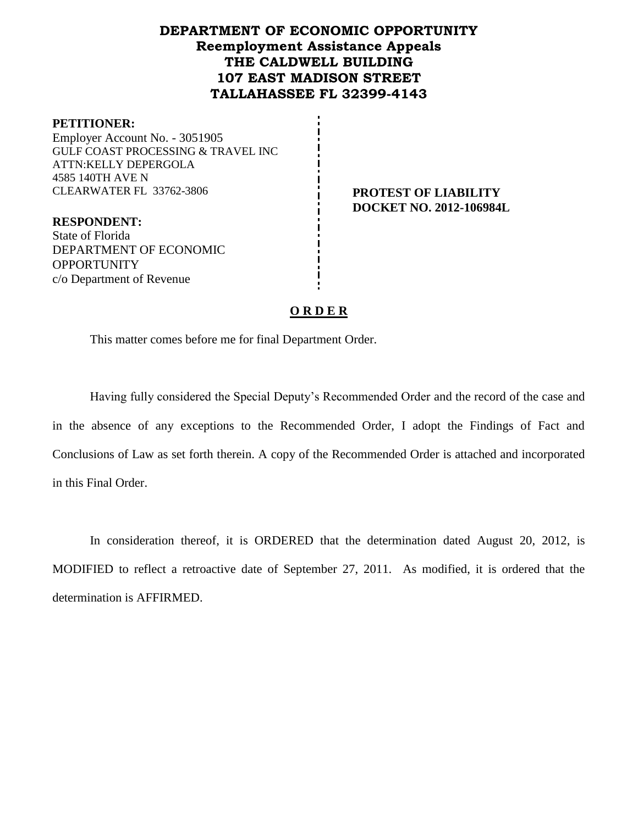# **DEPARTMENT OF ECONOMIC OPPORTUNITY Reemployment Assistance Appeals THE CALDWELL BUILDING 107 EAST MADISON STREET TALLAHASSEE FL 32399-4143**

#### **PETITIONER:**

Employer Account No. - 3051905 GULF COAST PROCESSING & TRAVEL INC ATTN:KELLY DEPERGOLA 4585 140TH AVE N CLEARWATER FL 33762-3806 **PROTEST OF LIABILITY**

**DOCKET NO. 2012-106984L**

**RESPONDENT:** State of Florida DEPARTMENT OF ECONOMIC OPPORTUNITY c/o Department of Revenue

#### **O R D E R**

This matter comes before me for final Department Order.

Having fully considered the Special Deputy's Recommended Order and the record of the case and in the absence of any exceptions to the Recommended Order, I adopt the Findings of Fact and Conclusions of Law as set forth therein. A copy of the Recommended Order is attached and incorporated in this Final Order.

In consideration thereof, it is ORDERED that the determination dated August 20, 2012, is MODIFIED to reflect a retroactive date of September 27, 2011. As modified, it is ordered that the determination is AFFIRMED.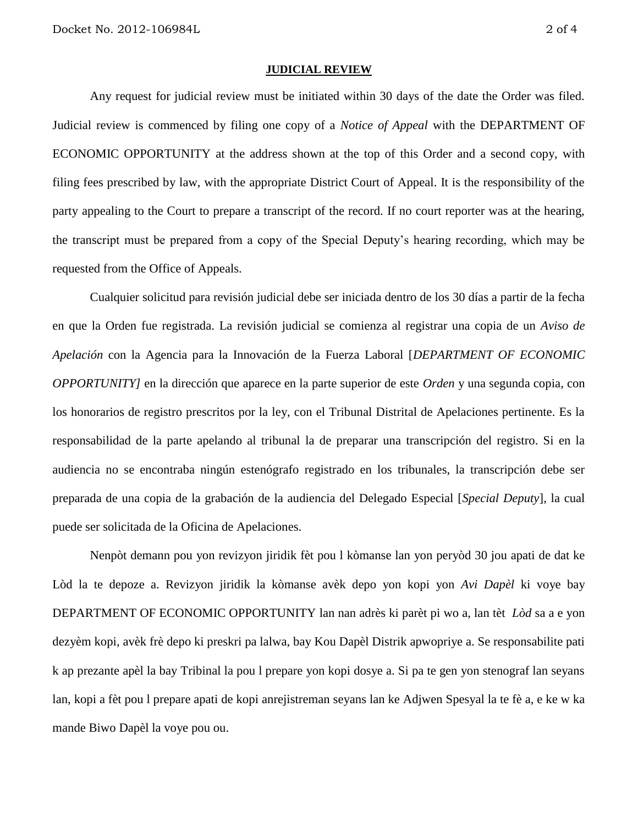#### **JUDICIAL REVIEW**

Any request for judicial review must be initiated within 30 days of the date the Order was filed. Judicial review is commenced by filing one copy of a *Notice of Appeal* with the DEPARTMENT OF ECONOMIC OPPORTUNITY at the address shown at the top of this Order and a second copy, with filing fees prescribed by law, with the appropriate District Court of Appeal. It is the responsibility of the party appealing to the Court to prepare a transcript of the record. If no court reporter was at the hearing, the transcript must be prepared from a copy of the Special Deputy's hearing recording, which may be requested from the Office of Appeals.

Cualquier solicitud para revisión judicial debe ser iniciada dentro de los 30 días a partir de la fecha en que la Orden fue registrada. La revisión judicial se comienza al registrar una copia de un *Aviso de Apelación* con la Agencia para la Innovación de la Fuerza Laboral [*DEPARTMENT OF ECONOMIC OPPORTUNITY]* en la dirección que aparece en la parte superior de este *Orden* y una segunda copia, con los honorarios de registro prescritos por la ley, con el Tribunal Distrital de Apelaciones pertinente. Es la responsabilidad de la parte apelando al tribunal la de preparar una transcripción del registro. Si en la audiencia no se encontraba ningún estenógrafo registrado en los tribunales, la transcripción debe ser preparada de una copia de la grabación de la audiencia del Delegado Especial [*Special Deputy*], la cual puede ser solicitada de la Oficina de Apelaciones.

Nenpòt demann pou yon revizyon jiridik fèt pou l kòmanse lan yon peryòd 30 jou apati de dat ke Lòd la te depoze a. Revizyon jiridik la kòmanse avèk depo yon kopi yon *Avi Dapèl* ki voye bay DEPARTMENT OF ECONOMIC OPPORTUNITY lan nan adrès ki parèt pi wo a, lan tèt *Lòd* sa a e yon dezyèm kopi, avèk frè depo ki preskri pa lalwa, bay Kou Dapèl Distrik apwopriye a. Se responsabilite pati k ap prezante apèl la bay Tribinal la pou l prepare yon kopi dosye a. Si pa te gen yon stenograf lan seyans lan, kopi a fèt pou l prepare apati de kopi anrejistreman seyans lan ke Adjwen Spesyal la te fè a, e ke w ka mande Biwo Dapèl la voye pou ou.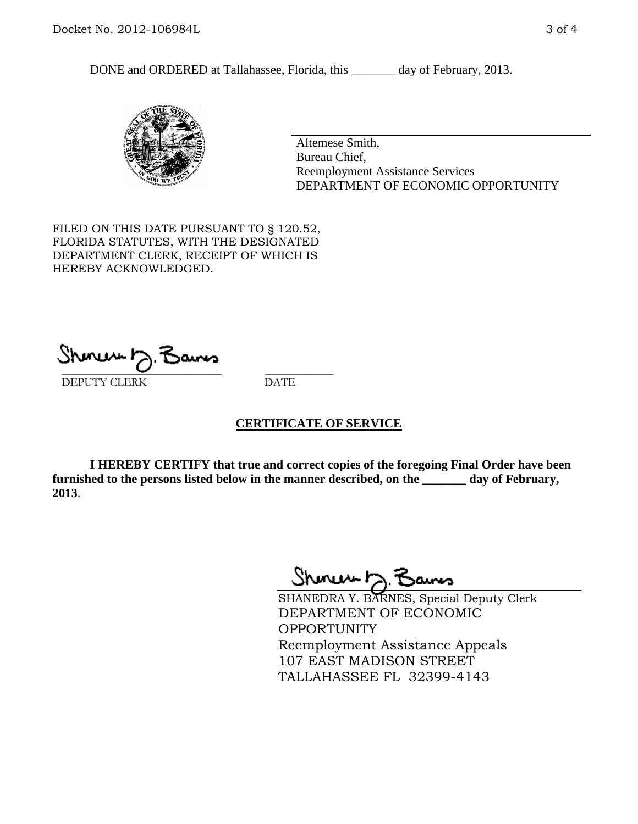DONE and ORDERED at Tallahassee, Florida, this \_\_\_\_\_\_\_ day of February, 2013.



Altemese Smith, Bureau Chief, Reemployment Assistance Services DEPARTMENT OF ECONOMIC OPPORTUNITY

FILED ON THIS DATE PURSUANT TO § 120.52, FLORIDA STATUTES, WITH THE DESIGNATED DEPARTMENT CLERK, RECEIPT OF WHICH IS HEREBY ACKNOWLEDGED.

 $\overline{\phantom{a}}$  ,  $\overline{\phantom{a}}$  ,  $\overline{\phantom{a}}$  ,  $\overline{\phantom{a}}$  ,  $\overline{\phantom{a}}$  ,  $\overline{\phantom{a}}$  ,  $\overline{\phantom{a}}$  ,  $\overline{\phantom{a}}$ DEPUTY CLERK DATE

## **CERTIFICATE OF SERVICE**

**I HEREBY CERTIFY that true and correct copies of the foregoing Final Order have been furnished to the persons listed below in the manner described, on the \_\_\_\_\_\_\_ day of February, 2013**.

Shoner D. Bans

SHANEDRA Y. BARNES, Special Deputy Clerk DEPARTMENT OF ECONOMIC OPPORTUNITY Reemployment Assistance Appeals 107 EAST MADISON STREET TALLAHASSEE FL 32399-4143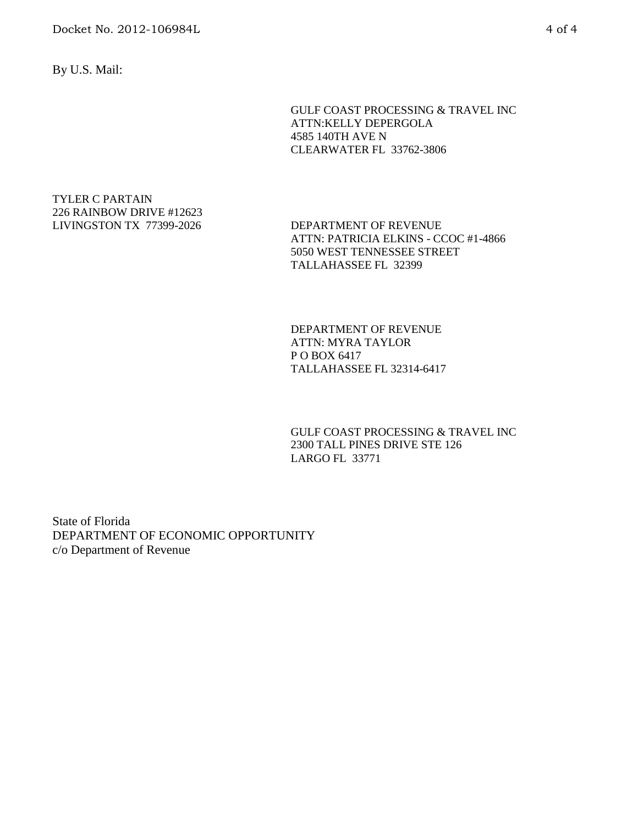By U.S. Mail:

GULF COAST PROCESSING & TRAVEL INC ATTN:KELLY DEPERGOLA 4585 140TH AVE N CLEARWATER FL 33762-3806

TYLER C PARTAIN 226 RAINBOW DRIVE #12623 LIVINGSTON TX 77399-2026 DEPARTMENT OF REVENUE

ATTN: PATRICIA ELKINS - CCOC #1-4866 5050 WEST TENNESSEE STREET TALLAHASSEE FL 32399

DEPARTMENT OF REVENUE ATTN: MYRA TAYLOR P O BOX 6417 TALLAHASSEE FL 32314-6417

GULF COAST PROCESSING & TRAVEL INC 2300 TALL PINES DRIVE STE 126 LARGO FL 33771

State of Florida DEPARTMENT OF ECONOMIC OPPORTUNITY c/o Department of Revenue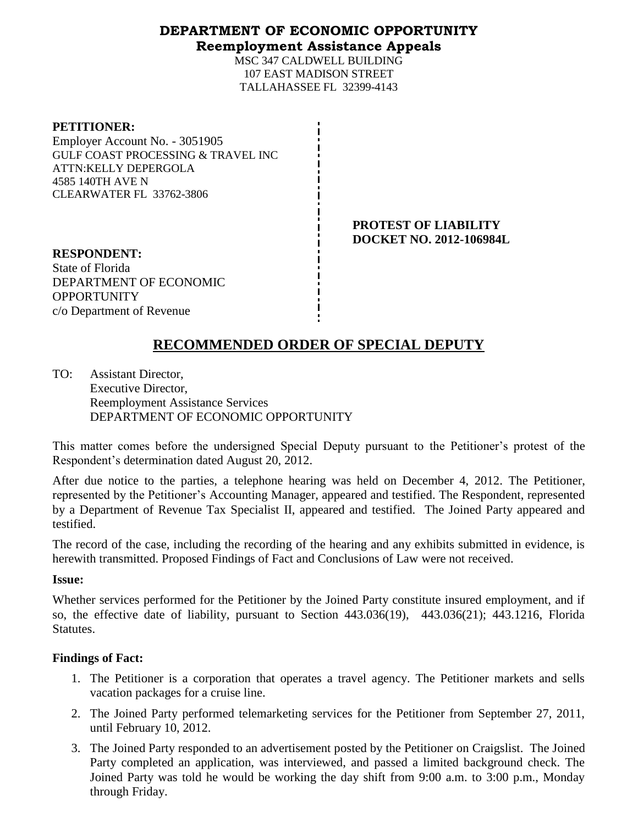# **DEPARTMENT OF ECONOMIC OPPORTUNITY Reemployment Assistance Appeals**

MSC 347 CALDWELL BUILDING 107 EAST MADISON STREET TALLAHASSEE FL 32399-4143

| <b>PETITIONER:</b>                            |
|-----------------------------------------------|
| Employer Account No. - 3051905                |
| <b>GULF COAST PROCESSING &amp; TRAVEL INC</b> |
| ATTN:KELLY DEPERGOLA                          |
| 4585 140TH AVE N                              |
| <b>CLEARWATER FL 33762-3806</b>               |
|                                               |

**PROTEST OF LIABILITY DOCKET NO. 2012-106984L**

**RESPONDENT:** State of Florida DEPARTMENT OF ECONOMIC **OPPORTUNITY** c/o Department of Revenue

# **RECOMMENDED ORDER OF SPECIAL DEPUTY**

TO: Assistant Director, Executive Director, Reemployment Assistance Services DEPARTMENT OF ECONOMIC OPPORTUNITY

This matter comes before the undersigned Special Deputy pursuant to the Petitioner's protest of the Respondent's determination dated August 20, 2012.

After due notice to the parties, a telephone hearing was held on December 4, 2012. The Petitioner, represented by the Petitioner's Accounting Manager, appeared and testified. The Respondent, represented by a Department of Revenue Tax Specialist II, appeared and testified. The Joined Party appeared and testified.

The record of the case, including the recording of the hearing and any exhibits submitted in evidence, is herewith transmitted. Proposed Findings of Fact and Conclusions of Law were not received.

## **Issue:**

Whether services performed for the Petitioner by the Joined Party constitute insured employment, and if so, the effective date of liability, pursuant to Section 443.036(19), 443.036(21); 443.1216, Florida Statutes.

# **Findings of Fact:**

- 1. The Petitioner is a corporation that operates a travel agency. The Petitioner markets and sells vacation packages for a cruise line.
- 2. The Joined Party performed telemarketing services for the Petitioner from September 27, 2011, until February 10, 2012.
- 3. The Joined Party responded to an advertisement posted by the Petitioner on Craigslist. The Joined Party completed an application, was interviewed, and passed a limited background check. The Joined Party was told he would be working the day shift from 9:00 a.m. to 3:00 p.m., Monday through Friday.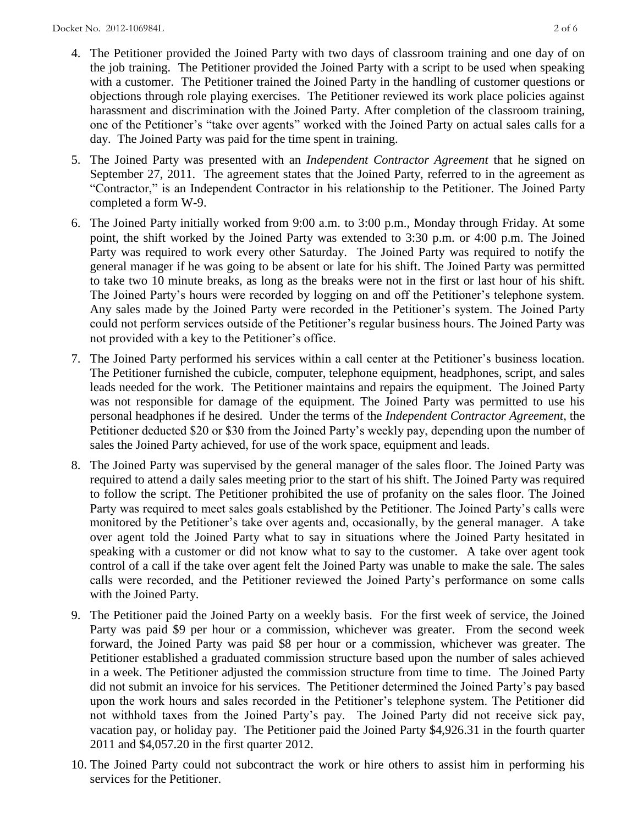- 4. The Petitioner provided the Joined Party with two days of classroom training and one day of on the job training. The Petitioner provided the Joined Party with a script to be used when speaking with a customer. The Petitioner trained the Joined Party in the handling of customer questions or objections through role playing exercises. The Petitioner reviewed its work place policies against harassment and discrimination with the Joined Party. After completion of the classroom training, one of the Petitioner's "take over agents" worked with the Joined Party on actual sales calls for a day. The Joined Party was paid for the time spent in training.
- 5. The Joined Party was presented with an *Independent Contractor Agreement* that he signed on September 27, 2011. The agreement states that the Joined Party, referred to in the agreement as "Contractor," is an Independent Contractor in his relationship to the Petitioner. The Joined Party completed a form W-9.
- 6. The Joined Party initially worked from 9:00 a.m. to 3:00 p.m., Monday through Friday. At some point, the shift worked by the Joined Party was extended to 3:30 p.m. or 4:00 p.m. The Joined Party was required to work every other Saturday. The Joined Party was required to notify the general manager if he was going to be absent or late for his shift. The Joined Party was permitted to take two 10 minute breaks, as long as the breaks were not in the first or last hour of his shift. The Joined Party's hours were recorded by logging on and off the Petitioner's telephone system. Any sales made by the Joined Party were recorded in the Petitioner's system. The Joined Party could not perform services outside of the Petitioner's regular business hours. The Joined Party was not provided with a key to the Petitioner's office.
- 7. The Joined Party performed his services within a call center at the Petitioner's business location. The Petitioner furnished the cubicle, computer, telephone equipment, headphones, script, and sales leads needed for the work. The Petitioner maintains and repairs the equipment. The Joined Party was not responsible for damage of the equipment. The Joined Party was permitted to use his personal headphones if he desired. Under the terms of the *Independent Contractor Agreement*, the Petitioner deducted \$20 or \$30 from the Joined Party's weekly pay, depending upon the number of sales the Joined Party achieved, for use of the work space, equipment and leads.
- 8. The Joined Party was supervised by the general manager of the sales floor. The Joined Party was required to attend a daily sales meeting prior to the start of his shift. The Joined Party was required to follow the script. The Petitioner prohibited the use of profanity on the sales floor. The Joined Party was required to meet sales goals established by the Petitioner. The Joined Party's calls were monitored by the Petitioner's take over agents and, occasionally, by the general manager. A take over agent told the Joined Party what to say in situations where the Joined Party hesitated in speaking with a customer or did not know what to say to the customer. A take over agent took control of a call if the take over agent felt the Joined Party was unable to make the sale. The sales calls were recorded, and the Petitioner reviewed the Joined Party's performance on some calls with the Joined Party.
- 9. The Petitioner paid the Joined Party on a weekly basis. For the first week of service, the Joined Party was paid \$9 per hour or a commission, whichever was greater. From the second week forward, the Joined Party was paid \$8 per hour or a commission, whichever was greater. The Petitioner established a graduated commission structure based upon the number of sales achieved in a week. The Petitioner adjusted the commission structure from time to time. The Joined Party did not submit an invoice for his services. The Petitioner determined the Joined Party's pay based upon the work hours and sales recorded in the Petitioner's telephone system. The Petitioner did not withhold taxes from the Joined Party's pay. The Joined Party did not receive sick pay, vacation pay, or holiday pay. The Petitioner paid the Joined Party \$4,926.31 in the fourth quarter 2011 and \$4,057.20 in the first quarter 2012.
- 10. The Joined Party could not subcontract the work or hire others to assist him in performing his services for the Petitioner.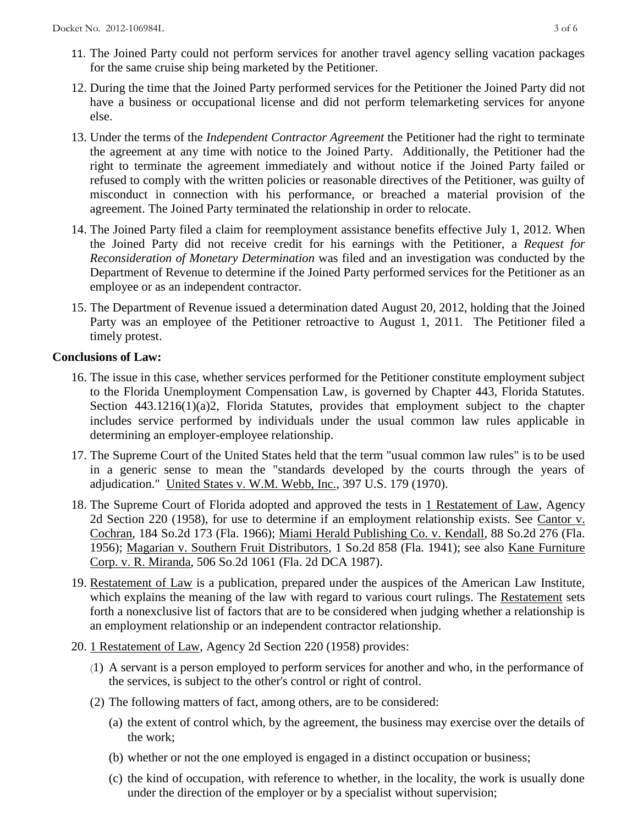- 11. The Joined Party could not perform services for another travel agency selling vacation packages for the same cruise ship being marketed by the Petitioner.
- 12. During the time that the Joined Party performed services for the Petitioner the Joined Party did not have a business or occupational license and did not perform telemarketing services for anyone else.
- 13. Under the terms of the *Independent Contractor Agreement* the Petitioner had the right to terminate the agreement at any time with notice to the Joined Party. Additionally, the Petitioner had the right to terminate the agreement immediately and without notice if the Joined Party failed or refused to comply with the written policies or reasonable directives of the Petitioner, was guilty of misconduct in connection with his performance, or breached a material provision of the agreement. The Joined Party terminated the relationship in order to relocate.
- 14. The Joined Party filed a claim for reemployment assistance benefits effective July 1, 2012. When the Joined Party did not receive credit for his earnings with the Petitioner, a *Request for Reconsideration of Monetary Determination* was filed and an investigation was conducted by the Department of Revenue to determine if the Joined Party performed services for the Petitioner as an employee or as an independent contractor.
- 15. The Department of Revenue issued a determination dated August 20, 2012, holding that the Joined Party was an employee of the Petitioner retroactive to August 1, 2011. The Petitioner filed a timely protest.

## **Conclusions of Law:**

- 16. The issue in this case, whether services performed for the Petitioner constitute employment subject to the Florida Unemployment Compensation Law, is governed by Chapter 443, Florida Statutes. Section 443.1216(1)(a)2, Florida Statutes, provides that employment subject to the chapter includes service performed by individuals under the usual common law rules applicable in determining an employer-employee relationship.
- 17. The Supreme Court of the United States held that the term "usual common law rules" is to be used in a generic sense to mean the "standards developed by the courts through the years of adjudication." United States v. W.M. Webb, Inc., 397 U.S. 179 (1970).
- 18. The Supreme Court of Florida adopted and approved the tests in 1 Restatement of Law, Agency 2d Section 220 (1958), for use to determine if an employment relationship exists. See Cantor v. Cochran, 184 So.2d 173 (Fla. 1966); Miami Herald Publishing Co. v. Kendall, 88 So.2d 276 (Fla. 1956); Magarian v. Southern Fruit Distributors, 1 So.2d 858 (Fla. 1941); see also Kane Furniture Corp. v. R. Miranda, 506 So.2d 1061 (Fla. 2d DCA 1987).
- 19. Restatement of Law is a publication, prepared under the auspices of the American Law Institute, which explains the meaning of the law with regard to various court rulings. The Restatement sets forth a nonexclusive list of factors that are to be considered when judging whether a relationship is an employment relationship or an independent contractor relationship.
- 20. 1 Restatement of Law, Agency 2d Section 220 (1958) provides:
	- (1) A servant is a person employed to perform services for another and who, in the performance of the services, is subject to the other's control or right of control.
	- (2) The following matters of fact, among others, are to be considered:
		- (a) the extent of control which, by the agreement, the business may exercise over the details of the work;
		- (b) whether or not the one employed is engaged in a distinct occupation or business;
		- (c) the kind of occupation, with reference to whether, in the locality, the work is usually done under the direction of the employer or by a specialist without supervision;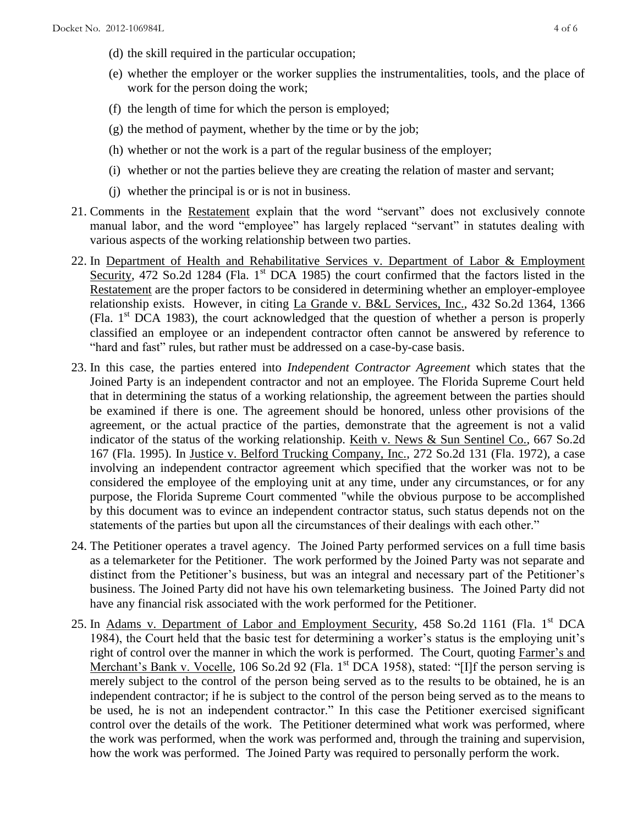- (d) the skill required in the particular occupation;
- (e) whether the employer or the worker supplies the instrumentalities, tools, and the place of work for the person doing the work;
- (f) the length of time for which the person is employed;
- (g) the method of payment, whether by the time or by the job;
- (h) whether or not the work is a part of the regular business of the employer;
- (i) whether or not the parties believe they are creating the relation of master and servant;
- (j) whether the principal is or is not in business.
- 21. Comments in the Restatement explain that the word "servant" does not exclusively connote manual labor, and the word "employee" has largely replaced "servant" in statutes dealing with various aspects of the working relationship between two parties.
- 22. In Department of Health and Rehabilitative Services v. Department of Labor & Employment Security, 472 So.2d 1284 (Fla. 1<sup>st</sup> DCA 1985) the court confirmed that the factors listed in the Restatement are the proper factors to be considered in determining whether an employer-employee relationship exists. However, in citing La Grande v. B&L Services, Inc., 432 So.2d 1364, 1366 (Fla.  $1<sup>st</sup> DCA$  1983), the court acknowledged that the question of whether a person is properly classified an employee or an independent contractor often cannot be answered by reference to "hard and fast" rules, but rather must be addressed on a case-by-case basis.
- 23. In this case, the parties entered into *Independent Contractor Agreement* which states that the Joined Party is an independent contractor and not an employee. The Florida Supreme Court held that in determining the status of a working relationship, the agreement between the parties should be examined if there is one. The agreement should be honored, unless other provisions of the agreement, or the actual practice of the parties, demonstrate that the agreement is not a valid indicator of the status of the working relationship. Keith v. News & Sun Sentinel Co., 667 So.2d 167 (Fla. 1995). In Justice v. Belford Trucking Company, Inc., 272 So.2d 131 (Fla. 1972), a case involving an independent contractor agreement which specified that the worker was not to be considered the employee of the employing unit at any time, under any circumstances, or for any purpose, the Florida Supreme Court commented "while the obvious purpose to be accomplished by this document was to evince an independent contractor status, such status depends not on the statements of the parties but upon all the circumstances of their dealings with each other."
- 24. The Petitioner operates a travel agency. The Joined Party performed services on a full time basis as a telemarketer for the Petitioner. The work performed by the Joined Party was not separate and distinct from the Petitioner's business, but was an integral and necessary part of the Petitioner's business. The Joined Party did not have his own telemarketing business. The Joined Party did not have any financial risk associated with the work performed for the Petitioner.
- 25. In Adams v. Department of Labor and Employment Security, 458 So.2d 1161 (Fla. 1<sup>st</sup> DCA 1984), the Court held that the basic test for determining a worker's status is the employing unit's right of control over the manner in which the work is performed. The Court, quoting Farmer's and Merchant's Bank v. Vocelle, 106 So.2d 92 (Fla. 1<sup>st</sup> DCA 1958), stated: "[I]f the person serving is merely subject to the control of the person being served as to the results to be obtained, he is an independent contractor; if he is subject to the control of the person being served as to the means to be used, he is not an independent contractor." In this case the Petitioner exercised significant control over the details of the work. The Petitioner determined what work was performed, where the work was performed, when the work was performed and, through the training and supervision, how the work was performed. The Joined Party was required to personally perform the work.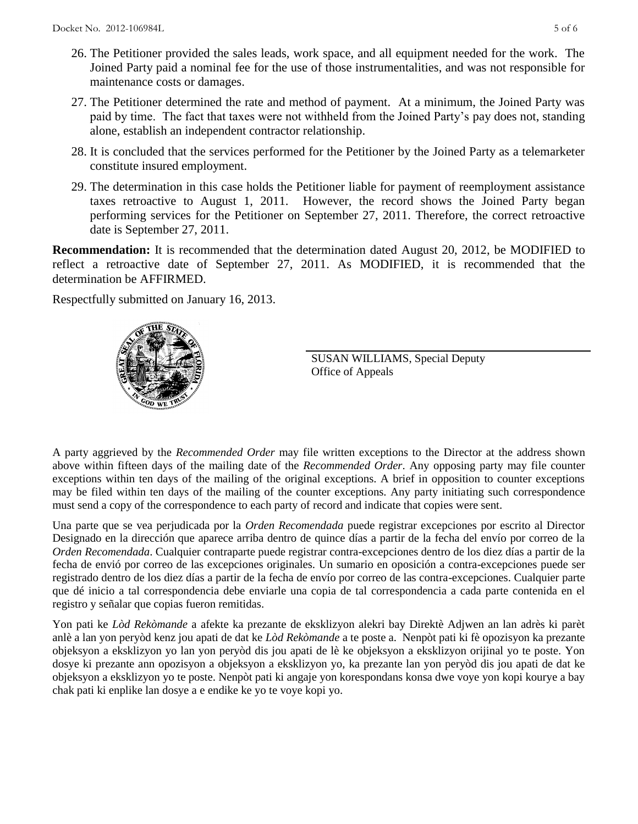- 26. The Petitioner provided the sales leads, work space, and all equipment needed for the work. The Joined Party paid a nominal fee for the use of those instrumentalities, and was not responsible for maintenance costs or damages.
- 27. The Petitioner determined the rate and method of payment. At a minimum, the Joined Party was paid by time. The fact that taxes were not withheld from the Joined Party's pay does not, standing alone, establish an independent contractor relationship.
- 28. It is concluded that the services performed for the Petitioner by the Joined Party as a telemarketer constitute insured employment.
- 29. The determination in this case holds the Petitioner liable for payment of reemployment assistance taxes retroactive to August 1, 2011. However, the record shows the Joined Party began performing services for the Petitioner on September 27, 2011. Therefore, the correct retroactive date is September 27, 2011.

**Recommendation:** It is recommended that the determination dated August 20, 2012, be MODIFIED to reflect a retroactive date of September 27, 2011. As MODIFIED, it is recommended that the determination be AFFIRMED.

Respectfully submitted on January 16, 2013.



SUSAN WILLIAMS, Special Deputy Office of Appeals

A party aggrieved by the *Recommended Order* may file written exceptions to the Director at the address shown above within fifteen days of the mailing date of the *Recommended Order*. Any opposing party may file counter exceptions within ten days of the mailing of the original exceptions. A brief in opposition to counter exceptions may be filed within ten days of the mailing of the counter exceptions. Any party initiating such correspondence must send a copy of the correspondence to each party of record and indicate that copies were sent.

Una parte que se vea perjudicada por la *Orden Recomendada* puede registrar excepciones por escrito al Director Designado en la dirección que aparece arriba dentro de quince días a partir de la fecha del envío por correo de la *Orden Recomendada*. Cualquier contraparte puede registrar contra-excepciones dentro de los diez días a partir de la fecha de envió por correo de las excepciones originales. Un sumario en oposición a contra-excepciones puede ser registrado dentro de los diez días a partir de la fecha de envío por correo de las contra-excepciones. Cualquier parte que dé inicio a tal correspondencia debe enviarle una copia de tal correspondencia a cada parte contenida en el registro y señalar que copias fueron remitidas.

Yon pati ke *Lòd Rekòmande* a afekte ka prezante de eksklizyon alekri bay Direktè Adjwen an lan adrès ki parèt anlè a lan yon peryòd kenz jou apati de dat ke *Lòd Rekòmande* a te poste a. Nenpòt pati ki fè opozisyon ka prezante objeksyon a eksklizyon yo lan yon peryòd dis jou apati de lè ke objeksyon a eksklizyon orijinal yo te poste. Yon dosye ki prezante ann opozisyon a objeksyon a eksklizyon yo, ka prezante lan yon peryòd dis jou apati de dat ke objeksyon a eksklizyon yo te poste. Nenpòt pati ki angaje yon korespondans konsa dwe voye yon kopi kourye a bay chak pati ki enplike lan dosye a e endike ke yo te voye kopi yo.